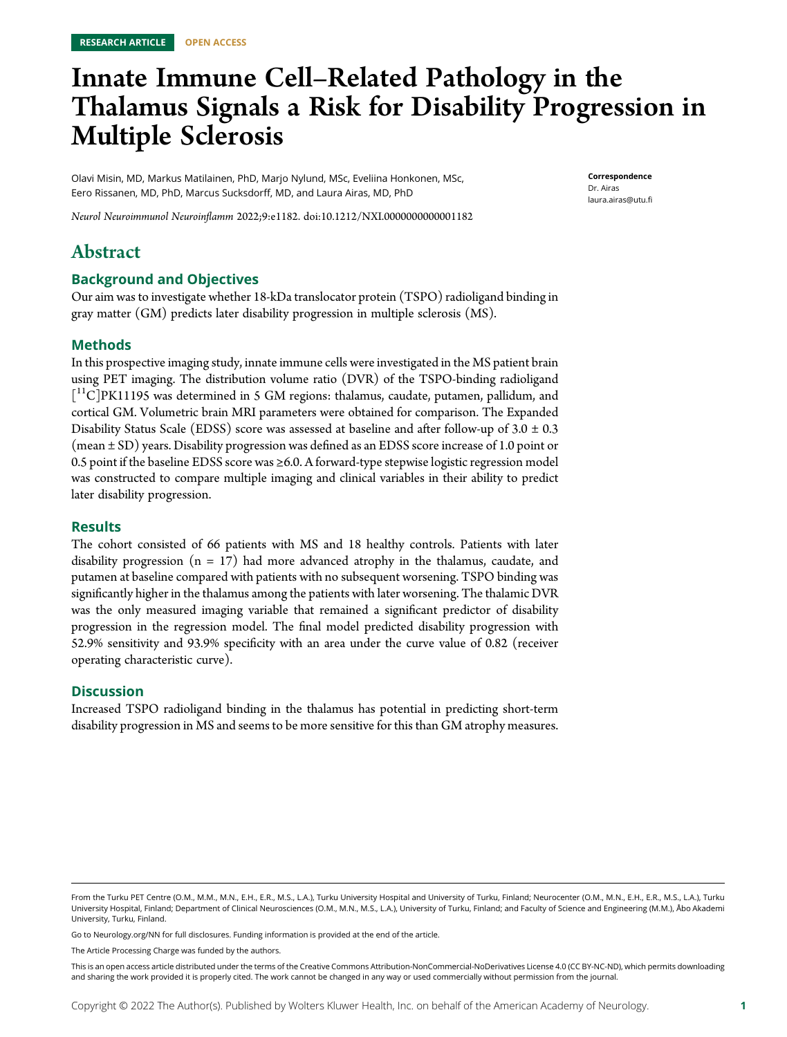# Innate Immune Cell–Related Pathology in the Thalamus Signals a Risk for Disability Progression in Multiple Sclerosis

Olavi Misin, MD, Markus Matilainen, PhD, Marjo Nylund, MSc, Eveliina Honkonen, MSc, Eero Rissanen, MD, PhD, Marcus Sucksdorff, MD, and Laura Airas, MD, PhD

Correspondence Dr. Airas [laura.airas@utu.fi](mailto:laura.airas@utu.fi)

Neurol Neuroimmunol Neuroinflamm 2022;9:e1182. doi[:10.1212/NXI.0000000000001182](http://dx.doi.org/10.1212/NXI.0000000000001182)

# Abstract

### Background and Objectives

Our aim was to investigate whether 18-kDa translocator protein (TSPO) radioligand binding in gray matter (GM) predicts later disability progression in multiple sclerosis (MS).

### Methods

In this prospective imaging study, innate immune cells were investigated in the MS patient brain using PET imaging. The distribution volume ratio (DVR) of the TSPO-binding radioligand [<sup>11</sup>C]PK11195 was determined in 5 GM regions: thalamus, caudate, putamen, pallidum, and cortical GM. Volumetric brain MRI parameters were obtained for comparison. The Expanded Disability Status Scale (EDSS) score was assessed at baseline and after follow-up of  $3.0 \pm 0.3$ (mean ± SD) years. Disability progression was defined as an EDSS score increase of 1.0 point or 0.5 point if the baseline EDSS score was ≥6.0. A forward-type stepwise logistic regression model was constructed to compare multiple imaging and clinical variables in their ability to predict later disability progression.

#### Results

The cohort consisted of 66 patients with MS and 18 healthy controls. Patients with later disability progression ( $n = 17$ ) had more advanced atrophy in the thalamus, caudate, and putamen at baseline compared with patients with no subsequent worsening. TSPO binding was significantly higher in the thalamus among the patients with later worsening. The thalamic DVR was the only measured imaging variable that remained a significant predictor of disability progression in the regression model. The final model predicted disability progression with 52.9% sensitivity and 93.9% specificity with an area under the curve value of 0.82 (receiver operating characteristic curve).

#### **Discussion**

Increased TSPO radioligand binding in the thalamus has potential in predicting short-term disability progression in MS and seems to be more sensitive for this than GM atrophy measures.

Go to [Neurology.org/NN](https://nn.neurology.org/content/9/4/e182/tab-article-info) for full disclosures. Funding information is provided at the end of the article.

The Article Processing Charge was funded by the authors.

This is an open access article distributed under the terms of the [Creative Commons Attribution-NonCommercial-NoDerivatives License 4.0 \(CC BY-NC-ND\),](http://creativecommons.org/licenses/by-nc-nd/4.0/) which permits downloading and sharing the work provided it is properly cited. The work cannot be changed in any way or used commercially without permission from the journal.

From the Turku PET Centre (O.M., M.M., M.N., E.H., E.R., M.S., L.A.), Turku University Hospital and University of Turku, Finland; Neurocenter (O.M., M.N., E.H., E.R., M.S., L.A.), Turku University Hospital, Finland; Department of Clinical Neurosciences (O.M., M.N., M.S., L.A.), University of Turku, Finland; and Faculty of Science and Engineering (M.M.), Åbo Akademi University, Turku, Finland.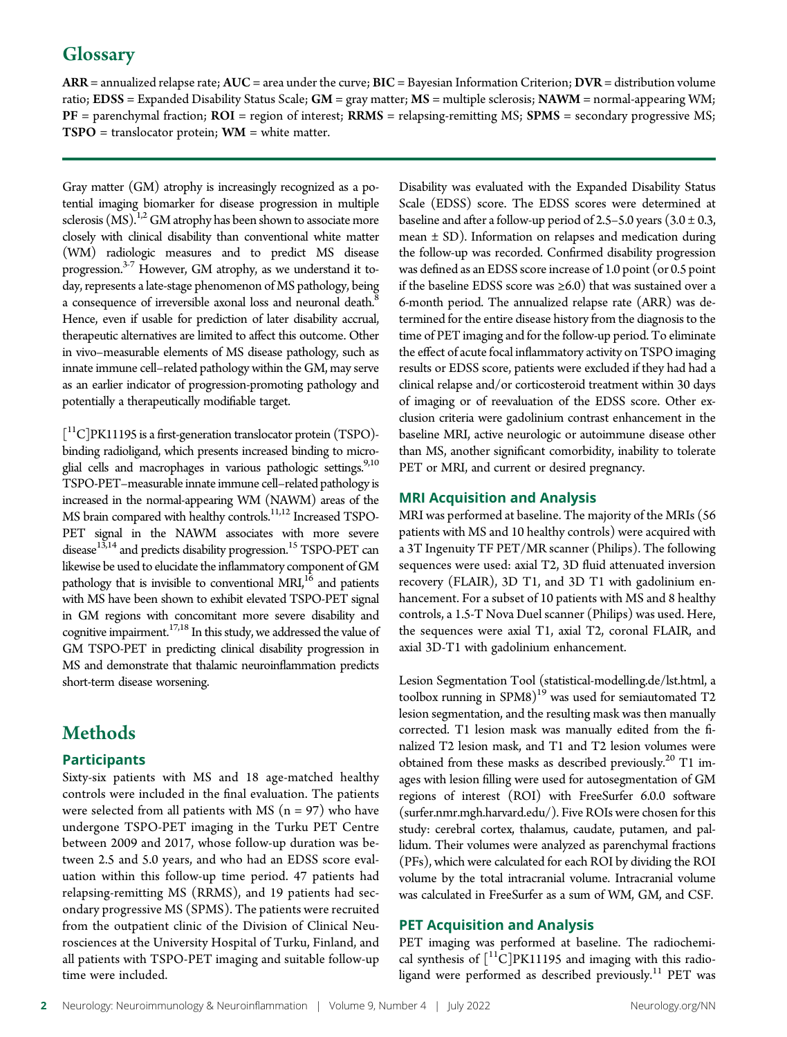# **Glossary**

ARR = annualized relapse rate; AUC = area under the curve; BIC = Bayesian Information Criterion; DVR = distribution volume ratio; EDSS = Expanded Disability Status Scale; GM = gray matter; MS = multiple sclerosis; NAWM = normal-appearing WM;  $PF =$  parenchymal fraction;  $ROI =$  region of interest;  $RRMS =$  relapsing-remitting MS;  $SPMS =$  secondary progressive MS;  $TSPO =$  translocator protein;  $WM =$  white matter.

Gray matter (GM) atrophy is increasingly recognized as a potential imaging biomarker for disease progression in multiple sclerosis  $(MS)^{1,2}$  GM atrophy has been shown to associate more closely with clinical disability than conventional white matter (WM) radiologic measures and to predict MS disease progression.3-7 However, GM atrophy, as we understand it today, represents a late-stage phenomenon of MS pathology, being a consequence of irreversible axonal loss and neuronal death.<sup>8</sup> Hence, even if usable for prediction of later disability accrual, therapeutic alternatives are limited to affect this outcome. Other in vivo–measurable elements of MS disease pathology, such as innate immune cell–related pathology within the GM, may serve as an earlier indicator of progression-promoting pathology and potentially a therapeutically modifiable target.

[ 11C]PK11195 is a first-generation translocator protein (TSPO) binding radioligand, which presents increased binding to microglial cells and macrophages in various pathologic settings.<sup>9,10</sup> TSPO-PET–measurable innate immune cell–related pathology is increased in the normal-appearing WM (NAWM) areas of the MS brain compared with healthy controls.<sup>11,12</sup> Increased TSPO-PET signal in the NAWM associates with more severe disease<sup>13,14</sup> and predicts disability progression.<sup>15</sup> TSPO-PET can likewise be used to elucidate the inflammatory component of GM pathology that is invisible to conventional  $MRJ<sub>16</sub>$  and patients with MS have been shown to exhibit elevated TSPO-PET signal in GM regions with concomitant more severe disability and cognitive impairment.17,18 In this study, we addressed the value of GM TSPO-PET in predicting clinical disability progression in MS and demonstrate that thalamic neuroinflammation predicts short-term disease worsening.

# **Methods**

# **Participants**

Sixty-six patients with MS and 18 age-matched healthy controls were included in the final evaluation. The patients were selected from all patients with MS  $(n = 97)$  who have undergone TSPO-PET imaging in the Turku PET Centre between 2009 and 2017, whose follow-up duration was between 2.5 and 5.0 years, and who had an EDSS score evaluation within this follow-up time period. 47 patients had relapsing-remitting MS (RRMS), and 19 patients had secondary progressive MS (SPMS). The patients were recruited from the outpatient clinic of the Division of Clinical Neurosciences at the University Hospital of Turku, Finland, and all patients with TSPO-PET imaging and suitable follow-up time were included.

Disability was evaluated with the Expanded Disability Status Scale (EDSS) score. The EDSS scores were determined at baseline and after a follow-up period of 2.5–5.0 years  $(3.0 \pm 0.3,$ mean ± SD). Information on relapses and medication during the follow-up was recorded. Confirmed disability progression was defined as an EDSS score increase of 1.0 point (or 0.5 point if the baseline EDSS score was ≥6.0) that was sustained over a 6-month period. The annualized relapse rate (ARR) was determined for the entire disease history from the diagnosis to the time of PET imaging and for the follow-up period. To eliminate the effect of acute focal inflammatory activity on TSPO imaging results or EDSS score, patients were excluded if they had had a clinical relapse and/or corticosteroid treatment within 30 days of imaging or of reevaluation of the EDSS score. Other exclusion criteria were gadolinium contrast enhancement in the baseline MRI, active neurologic or autoimmune disease other than MS, another significant comorbidity, inability to tolerate PET or MRI, and current or desired pregnancy.

# MRI Acquisition and Analysis

MRI was performed at baseline. The majority of the MRIs (56 patients with MS and 10 healthy controls) were acquired with a 3T Ingenuity TF PET/MR scanner (Philips). The following sequences were used: axial T2, 3D fluid attenuated inversion recovery (FLAIR), 3D T1, and 3D T1 with gadolinium enhancement. For a subset of 10 patients with MS and 8 healthy controls, a 1.5-T Nova Duel scanner (Philips) was used. Here, the sequences were axial T1, axial T2, coronal FLAIR, and axial 3D-T1 with gadolinium enhancement.

Lesion Segmentation Tool ([statistical-modelling.de/lst.html](http://www.statistical-modelling.de/lst.html), a toolbox running in SPM8) $^{19}$  was used for semiautomated T2 lesion segmentation, and the resulting mask was then manually corrected. T1 lesion mask was manually edited from the finalized T2 lesion mask, and T1 and T2 lesion volumes were obtained from these masks as described previously.<sup>20</sup> T1 images with lesion filling were used for autosegmentation of GM regions of interest (ROI) with FreeSurfer 6.0.0 software [\(surfer.nmr.mgh.harvard.edu/\)](http://surfer.nmr.mgh.harvard.edu/). Five ROIs were chosen for this study: cerebral cortex, thalamus, caudate, putamen, and pallidum. Their volumes were analyzed as parenchymal fractions (PFs), which were calculated for each ROI by dividing the ROI volume by the total intracranial volume. Intracranial volume was calculated in FreeSurfer as a sum of WM, GM, and CSF.

# PET Acquisition and Analysis

PET imaging was performed at baseline. The radiochemical synthesis of  $\left[$ <sup>11</sup>C]PK11195 and imaging with this radioligand were performed as described previously.<sup>11</sup> PET was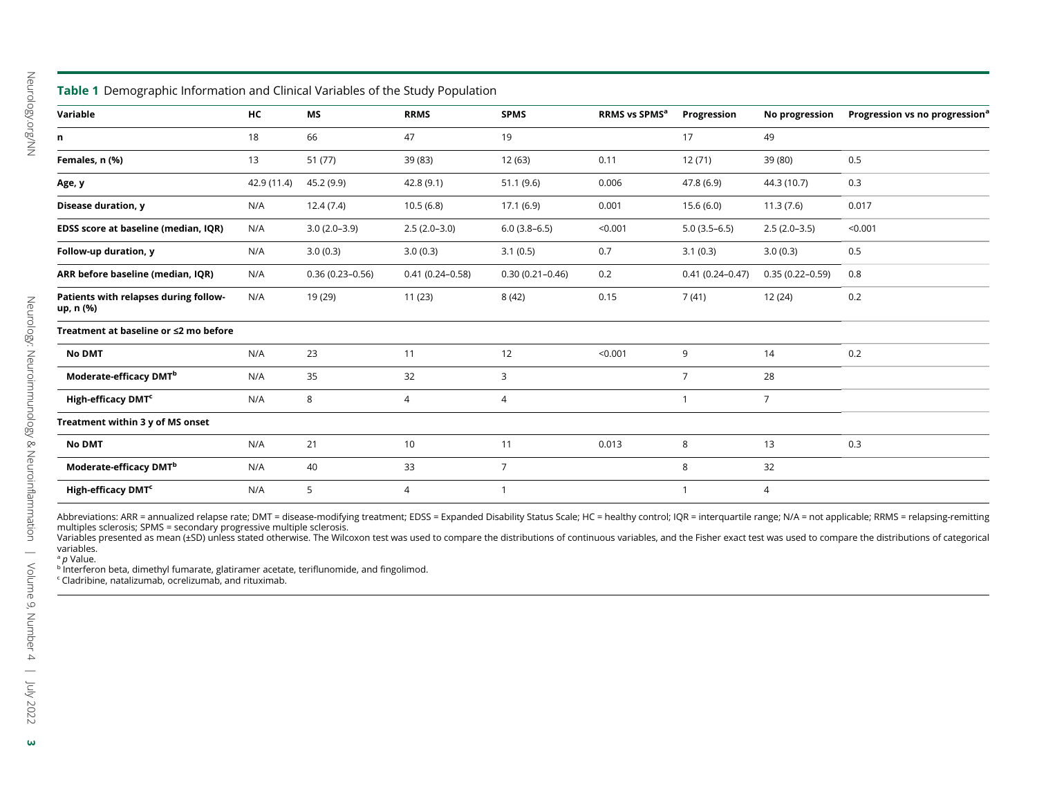| Table 1 Demographic Information and Clinical Variables of the Study Population |             |                     |                     |                     |                           |                     |                     |                                            |
|--------------------------------------------------------------------------------|-------------|---------------------|---------------------|---------------------|---------------------------|---------------------|---------------------|--------------------------------------------|
| Variable                                                                       | НC          | MS                  | <b>RRMS</b>         | <b>SPMS</b>         | RRMS vs SPMS <sup>a</sup> | Progression         | No progression      | Progression vs no progression <sup>®</sup> |
| n                                                                              | 18          | 66                  | 47                  | 19                  |                           | 17                  | 49                  |                                            |
| Females, n (%)                                                                 | 13          | 51 (77)             | 39 (83)             | 12 (63)             | 0.11                      | 12(71)              | 39 (80)             | 0.5                                        |
| Age, y                                                                         | 42.9 (11.4) | 45.2 (9.9)          | 42.8(9.1)           | 51.1(9.6)           | 0.006                     | 47.8 (6.9)          | 44.3 (10.7)         | 0.3                                        |
| Disease duration, y                                                            | N/A         | 12.4(7.4)           | 10.5(6.8)           | 17.1(6.9)           | 0.001                     | 15.6(6.0)           | 11.3(7.6)           | 0.017                                      |
| EDSS score at baseline (median, IQR)                                           | N/A         | $3.0(2.0-3.9)$      | $2.5(2.0-3.0)$      | $6.0(3.8-6.5)$      | < 0.001                   | $5.0(3.5-6.5)$      | $2.5(2.0-3.5)$      | < 0.001                                    |
| Follow-up duration, y                                                          | N/A         | 3.0(0.3)            | 3.0(0.3)            | 3.1(0.5)            | 0.7                       | 3.1(0.3)            | 3.0(0.3)            | 0.5                                        |
| ARR before baseline (median, IQR)                                              | N/A         | $0.36(0.23 - 0.56)$ | $0.41(0.24 - 0.58)$ | $0.30(0.21 - 0.46)$ | 0.2                       | $0.41(0.24 - 0.47)$ | $0.35(0.22 - 0.59)$ | 0.8                                        |
| Patients with relapses during follow-<br>up, n (%)                             | N/A         | 19 (29)             | 11(23)              | 8(42)               | 0.15                      | 7(41)               | 12(24)              | 0.2                                        |
| Treatment at baseline or ≤2 mo before                                          |             |                     |                     |                     |                           |                     |                     |                                            |
| <b>No DMT</b>                                                                  | N/A         | 23                  | 11                  | 12                  | < 0.001                   | 9                   | 14                  | 0.2                                        |
| Moderate-efficacy DMT <sup>b</sup>                                             | N/A         | 35                  | 32                  | 3                   |                           | $\overline{7}$      | 28                  |                                            |
| High-efficacy DMT <sup>c</sup>                                                 | N/A         | 8                   | 4                   | 4                   |                           | $\mathbf{1}$        | $\overline{7}$      |                                            |
| Treatment within 3 y of MS onset                                               |             |                     |                     |                     |                           |                     |                     |                                            |
| <b>No DMT</b>                                                                  | N/A         | 21                  | 10                  | 11                  | 0.013                     | 8                   | 13                  | 0.3                                        |
| Moderate-efficacy DMT <sup>b</sup>                                             | N/A         | 40                  | 33                  | $\overline{7}$      |                           | 8                   | 32                  |                                            |
| High-efficacy DMT <sup>c</sup>                                                 | N/A         | 5                   | 4                   | -1                  |                           | $\mathbf{1}$        | $\overline{4}$      |                                            |

Abbreviations: ARR = annualized relapse rate; DMT = disease-modifying treatment; EDSS = Expanded Disability Status Scale; HC = healthy control; IQR = interquartile range; N/A = not applicable; RRMS = relapsing-remitting<br>mu

variables.

<sup>a</sup> *p* Value.

 $^{\rm b}$  Interferon beta, dimethyl fumarate, glatiramer acetate, teriflunomide, and fingolimod.

 $\cdot$  Cladribine, natalizumab, ocrelizumab, and rituximab.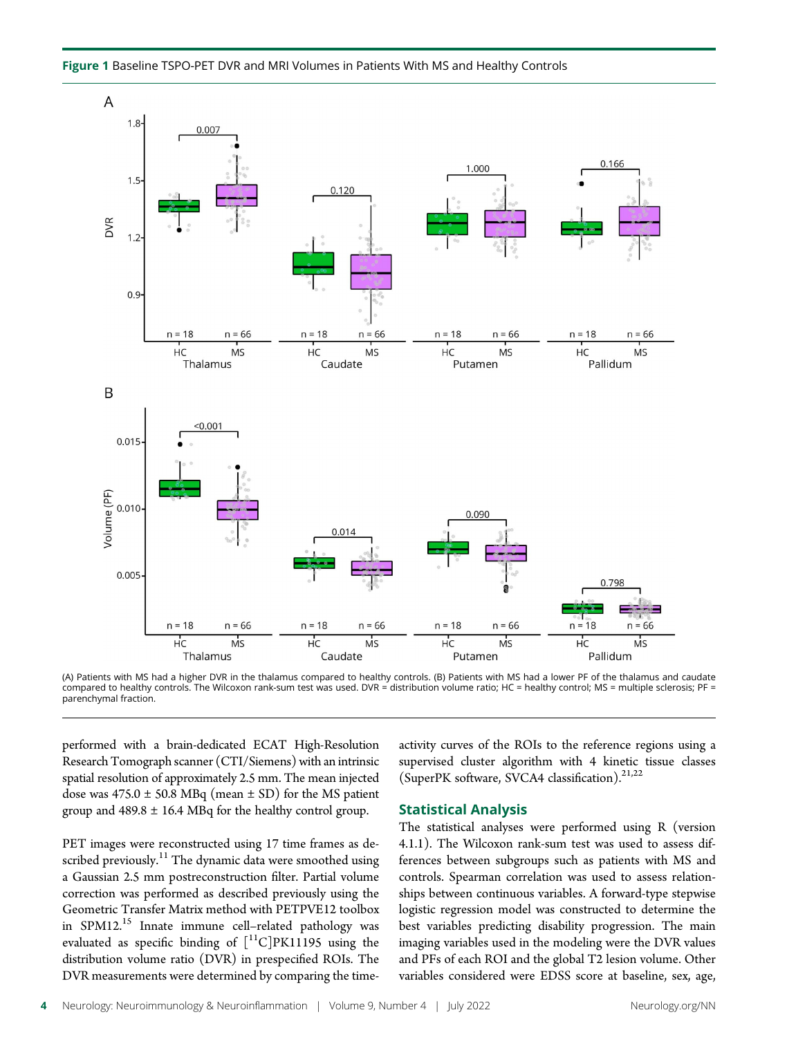Figure 1 Baseline TSPO-PET DVR and MRI Volumes in Patients With MS and Healthy Controls



(A) Patients with MS had a higher DVR in the thalamus compared to healthy controls. (B) Patients with MS had a lower PF of the thalamus and caudate compared to healthy controls. The Wilcoxon rank-sum test was used. DVR = distribution volume ratio; HC = healthy control; MS = multiple sclerosis; PF = parenchymal fraction.

performed with a brain-dedicated ECAT High-Resolution Research Tomograph scanner (CTI/Siemens) with an intrinsic spatial resolution of approximately 2.5 mm. The mean injected dose was  $475.0 \pm 50.8$  MBq (mean  $\pm$  SD) for the MS patient group and  $489.8 \pm 16.4$  MBq for the healthy control group.

PET images were reconstructed using 17 time frames as described previously.<sup>11</sup> The dynamic data were smoothed using a Gaussian 2.5 mm postreconstruction filter. Partial volume correction was performed as described previously using the Geometric Transfer Matrix method with PETPVE12 toolbox in SPM12.<sup>15</sup> Innate immune cell-related pathology was evaluated as specific binding of  $[^{11}C]$ PK11195 using the distribution volume ratio (DVR) in prespecified ROIs. The DVR measurements were determined by comparing the timeactivity curves of the ROIs to the reference regions using a supervised cluster algorithm with 4 kinetic tissue classes (SuperPK software, SVCA4 classification). $21,22$ 

#### Statistical Analysis

The statistical analyses were performed using R (version 4.1.1). The Wilcoxon rank-sum test was used to assess differences between subgroups such as patients with MS and controls. Spearman correlation was used to assess relationships between continuous variables. A forward-type stepwise logistic regression model was constructed to determine the best variables predicting disability progression. The main imaging variables used in the modeling were the DVR values and PFs of each ROI and the global T2 lesion volume. Other variables considered were EDSS score at baseline, sex, age,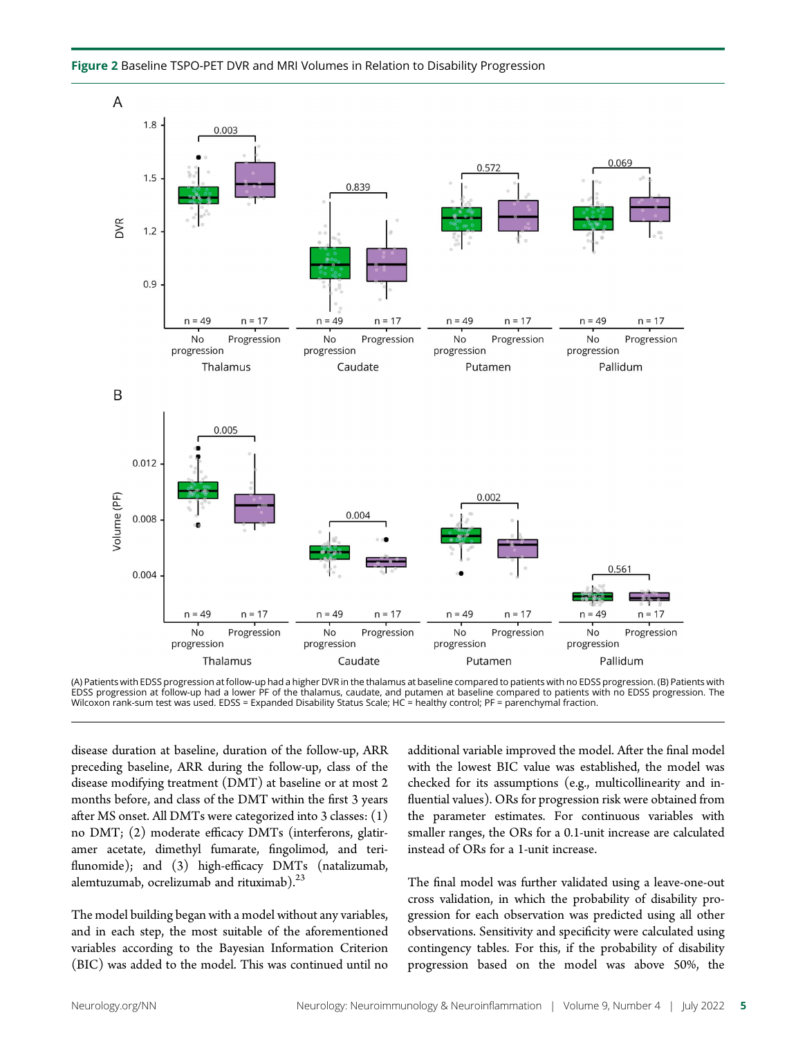



(A) Patients with EDSS progression at follow-up had a higher DVR in the thalamus at baseline compared to patients with no EDSS progression. (B) Patients with<br>EDSS progression at follow-up had a lower PF of the thalamus, ca Wilcoxon rank-sum test was used. EDSS = Expanded Disability Status Scale; HC = healthy control; PF = parenchymal fraction.

disease duration at baseline, duration of the follow-up, ARR preceding baseline, ARR during the follow-up, class of the disease modifying treatment (DMT) at baseline or at most 2 months before, and class of the DMT within the first 3 years after MS onset. All DMTs were categorized into 3 classes: (1) no DMT; (2) moderate efficacy DMTs (interferons, glatiramer acetate, dimethyl fumarate, fingolimod, and teriflunomide); and (3) high-efficacy DMTs (natalizumab, alemtuzumab, ocrelizumab and rituximab). $23$ 

The model building began with a model without any variables, and in each step, the most suitable of the aforementioned variables according to the Bayesian Information Criterion (BIC) was added to the model. This was continued until no

additional variable improved the model. After the final model with the lowest BIC value was established, the model was checked for its assumptions (e.g., multicollinearity and influential values). ORs for progression risk were obtained from the parameter estimates. For continuous variables with smaller ranges, the ORs for a 0.1-unit increase are calculated instead of ORs for a 1-unit increase.

The final model was further validated using a leave-one-out cross validation, in which the probability of disability progression for each observation was predicted using all other observations. Sensitivity and specificity were calculated using contingency tables. For this, if the probability of disability progression based on the model was above 50%, the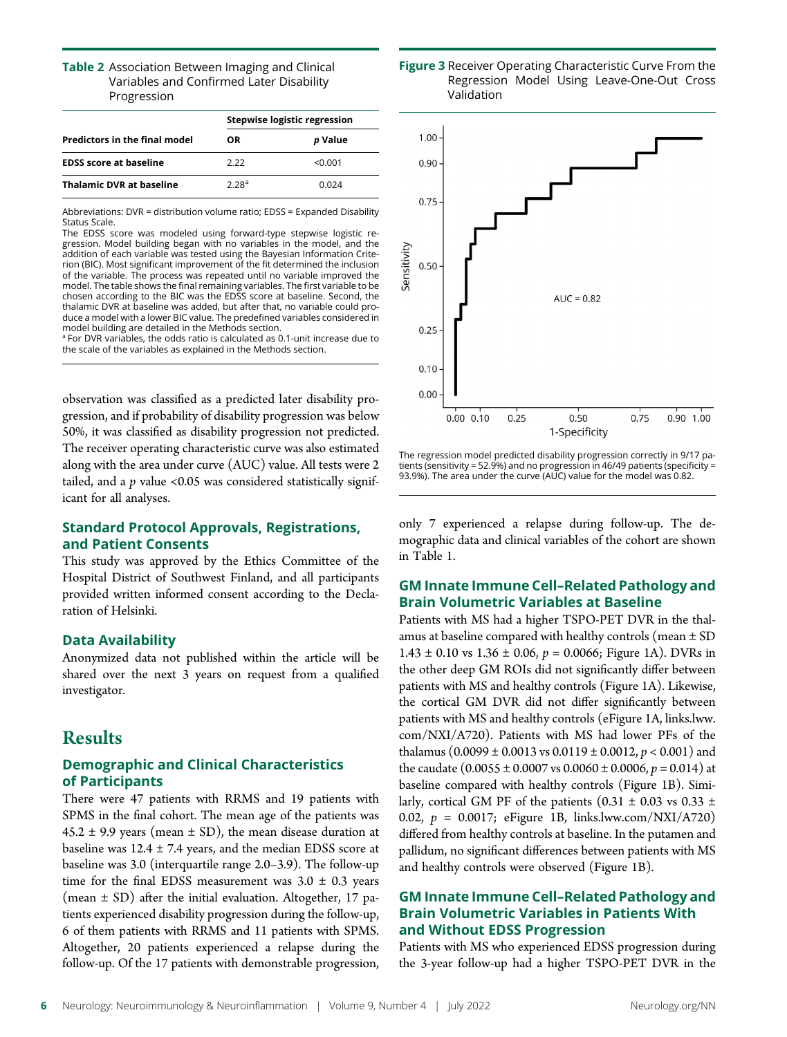#### **Table 2** Association Between Imaging and Clinical Variables and Confirmed Later Disability Progression

|                                      | <b>Stepwise logistic regression</b> |         |  |  |
|--------------------------------------|-------------------------------------|---------|--|--|
| <b>Predictors in the final model</b> | OR.                                 | p Value |  |  |
| <b>EDSS score at baseline</b>        | 2.22                                | < 0.001 |  |  |
| <b>Thalamic DVR at baseline</b>      | 2.28 <sup>a</sup>                   | 0 024   |  |  |

Abbreviations: DVR = distribution volume ratio; EDSS = Expanded Disability Status Scale.

The EDSS score was modeled using forward-type stepwise logistic regression. Model building began with no variables in the model, and the addition of each variable was tested using the Bayesian Information Criterion (BIC). Most significant improvement of the fit determined the inclusion of the variable. The process was repeated until no variable improved the model. The table shows the final remaining variables. The first variable to be chosen according to the BIC was the EDSS score at baseline. Second, the thalamic DVR at baseline was added, but after that, no variable could produce a model with a lower BIC value. The predefined variables considered in model building are detailed in the Methods section.

<sup>a</sup> For DVR variables, the odds ratio is calculated as 0.1-unit increase due to the scale of the variables as explained in the Methods section.

observation was classified as a predicted later disability progression, and if probability of disability progression was below 50%, it was classified as disability progression not predicted. The receiver operating characteristic curve was also estimated along with the area under curve (AUC) value. All tests were 2 tailed, and a  $p$  value <0.05 was considered statistically significant for all analyses.

# Standard Protocol Approvals, Registrations, and Patient Consents

This study was approved by the Ethics Committee of the Hospital District of Southwest Finland, and all participants provided written informed consent according to the Declaration of Helsinki.

# Data Availability

Anonymized data not published within the article will be shared over the next 3 years on request from a qualified investigator.

# Results

# Demographic and Clinical Characteristics of Participants

There were 47 patients with RRMS and 19 patients with SPMS in the final cohort. The mean age of the patients was  $45.2 \pm 9.9$  years (mean  $\pm$  SD), the mean disease duration at baseline was  $12.4 \pm 7.4$  years, and the median EDSS score at baseline was 3.0 (interquartile range 2.0–3.9). The follow-up time for the final EDSS measurement was  $3.0 \pm 0.3$  years (mean  $\pm$  SD) after the initial evaluation. Altogether, 17 patients experienced disability progression during the follow-up, 6 of them patients with RRMS and 11 patients with SPMS. Altogether, 20 patients experienced a relapse during the follow-up. Of the 17 patients with demonstrable progression,





The regression model predicted disability progression correctly in 9/17 patients (sensitivity = 52.9%) and no progression in 46/49 patients (specificity = 93.9%). The area under the curve (AUC) value for the model was 0.82.

only 7 experienced a relapse during follow-up. The demographic data and clinical variables of the cohort are shown in Table 1.

# GM Innate Immune Cell–Related Pathology and Brain Volumetric Variables at Baseline

Patients with MS had a higher TSPO-PET DVR in the thalamus at baseline compared with healthy controls (mean  $\pm$  SD  $1.43 \pm 0.10$  vs  $1.36 \pm 0.06$ ,  $p = 0.0066$ ; Figure 1A). DVRs in the other deep GM ROIs did not significantly differ between patients with MS and healthy controls (Figure 1A). Likewise, the cortical GM DVR did not differ significantly between patients with MS and healthy controls (eFigure 1A, [links.lww.](http://links.lww.com/NXI/A720) [com/NXI/A720\)](http://links.lww.com/NXI/A720). Patients with MS had lower PFs of the thalamus  $(0.0099 \pm 0.0013 \text{ vs } 0.0119 \pm 0.0012, p < 0.001)$  and the caudate  $(0.0055 \pm 0.0007 \text{ vs } 0.0060 \pm 0.0006, p = 0.014)$  at baseline compared with healthy controls (Figure 1B). Similarly, cortical GM PF of the patients  $(0.31 \pm 0.03 \text{ vs } 0.33 \pm 1)$ 0.02,  $p = 0.0017$ ; eFigure 1B, [links.lww.com/NXI/A720](http://links.lww.com/NXI/A720)) differed from healthy controls at baseline. In the putamen and pallidum, no significant differences between patients with MS and healthy controls were observed (Figure 1B).

# GM Innate Immune Cell–Related Pathology and Brain Volumetric Variables in Patients With and Without EDSS Progression

Patients with MS who experienced EDSS progression during the 3-year follow-up had a higher TSPO-PET DVR in the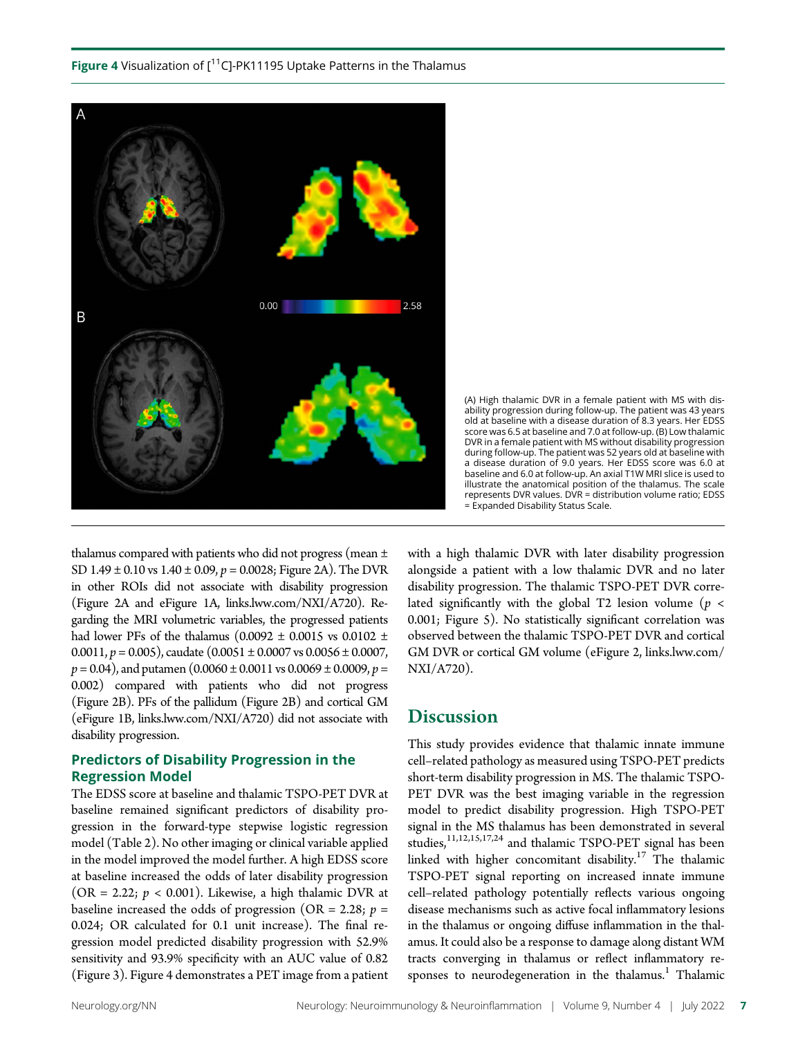**Figure 4** Visualization of  $I^{11}C$ ]-PK11195 Uptake Patterns in the Thalamus





thalamus compared with patients who did not progress (mean ± SD 1.49  $\pm$  0.10 vs 1.40  $\pm$  0.09, p = 0.0028; Figure 2A). The DVR in other ROIs did not associate with disability progression (Figure 2A and eFigure 1A, [links.lww.com/NXI/A720](http://links.lww.com/NXI/A720)). Regarding the MRI volumetric variables, the progressed patients had lower PFs of the thalamus (0.0092  $\pm$  0.0015 vs 0.0102  $\pm$ 0.0011,  $p = 0.005$ , caudate  $(0.0051 \pm 0.0007 \text{ vs } 0.0056 \pm 0.0007,$  $p = 0.04$ ), and putamen  $(0.0060 \pm 0.0011 \text{ vs } 0.0069 \pm 0.0009, p =$ 0.002) compared with patients who did not progress (Figure 2B). PFs of the pallidum (Figure 2B) and cortical GM (eFigure 1B, [links.lww.com/NXI/A720\)](http://links.lww.com/NXI/A720) did not associate with disability progression.

# Predictors of Disability Progression in the Regression Model

The EDSS score at baseline and thalamic TSPO-PET DVR at baseline remained significant predictors of disability progression in the forward-type stepwise logistic regression model (Table 2). No other imaging or clinical variable applied in the model improved the model further. A high EDSS score at baseline increased the odds of later disability progression (OR = 2.22;  $p < 0.001$ ). Likewise, a high thalamic DVR at baseline increased the odds of progression (OR = 2.28;  $p =$ 0.024; OR calculated for 0.1 unit increase). The final regression model predicted disability progression with 52.9% sensitivity and 93.9% specificity with an AUC value of 0.82 (Figure 3). Figure 4 demonstrates a PET image from a patient

with a high thalamic DVR with later disability progression alongside a patient with a low thalamic DVR and no later disability progression. The thalamic TSPO-PET DVR correlated significantly with the global T2 lesion volume ( $p <$ 0.001; Figure 5). No statistically significant correlation was observed between the thalamic TSPO-PET DVR and cortical GM DVR or cortical GM volume (eFigure 2, [links.lww.com/](http://links.lww.com/NXI/A720) [NXI/A720\)](http://links.lww.com/NXI/A720).

# **Discussion**

This study provides evidence that thalamic innate immune cell–related pathology as measured using TSPO-PET predicts short-term disability progression in MS. The thalamic TSPO-PET DVR was the best imaging variable in the regression model to predict disability progression. High TSPO-PET signal in the MS thalamus has been demonstrated in several studies,<sup>11,12,15,17,24</sup> and thalamic TSPO-PET signal has been linked with higher concomitant disability.<sup>17</sup> The thalamic TSPO-PET signal reporting on increased innate immune cell–related pathology potentially reflects various ongoing disease mechanisms such as active focal inflammatory lesions in the thalamus or ongoing diffuse inflammation in the thalamus. It could also be a response to damage along distant WM tracts converging in thalamus or reflect inflammatory responses to neurodegeneration in the thalamus.<sup>1</sup> Thalamic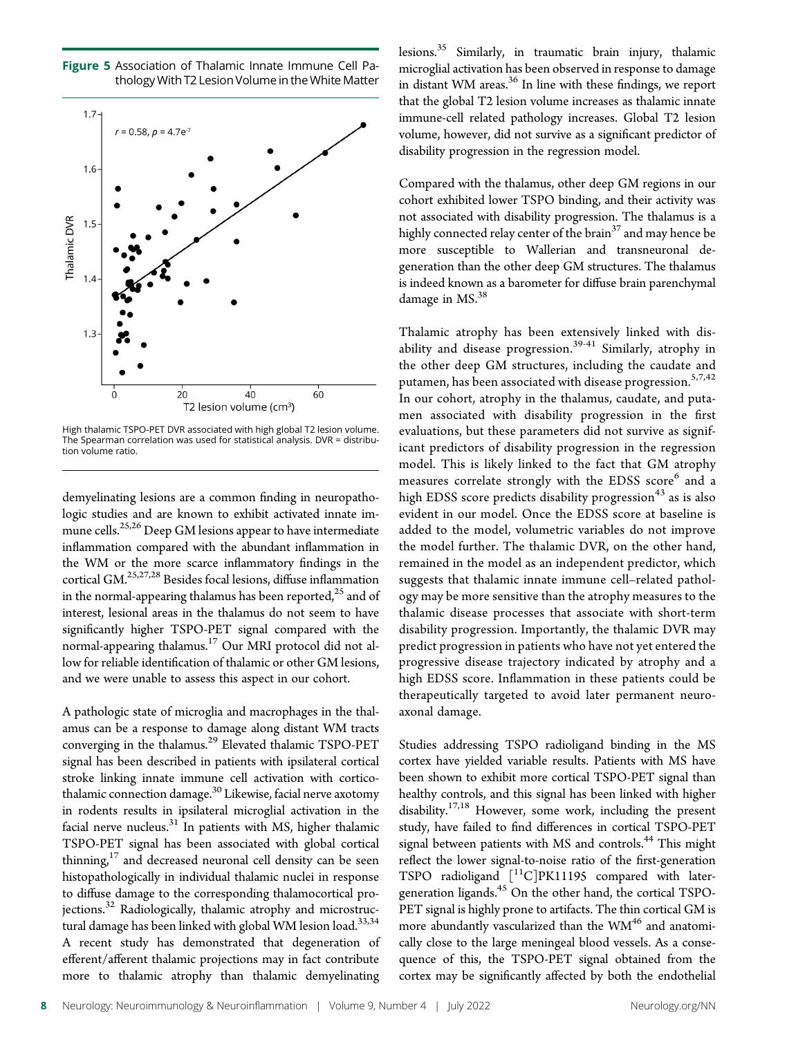Figure 5 Association of Thalamic Innate Immune Cell Pathology With T2 Lesion Volume in the White Matter



High thalamic TSPO-PET DVR associated with high global T2 lesion volume. The Spearman correlation was used for statistical analysis. DVR = distribution volume ratio.

demyelinating lesions are a common finding in neuropathologic studies and are known to exhibit activated innate immune cells.<sup>25,26</sup> Deep GM lesions appear to have intermediate inflammation compared with the abundant inflammation in the WM or the more scarce inflammatory findings in the cortical GM.<sup>25,27,28</sup> Besides focal lesions, diffuse inflammation in the normal-appearing thalamus has been reported, $^{25}$  and of interest, lesional areas in the thalamus do not seem to have significantly higher TSPO-PET signal compared with the normal-appearing thalamus.<sup>17</sup> Our MRI protocol did not allow for reliable identification of thalamic or other GM lesions, and we were unable to assess this aspect in our cohort.

A pathologic state of microglia and macrophages in the thalamus can be a response to damage along distant WM tracts converging in the thalamus.<sup>29</sup> Elevated thalamic TSPO-PET signal has been described in patients with ipsilateral cortical stroke linking innate immune cell activation with corticothalamic connection damage.<sup>30</sup> Likewise, facial nerve axotomy in rodents results in ipsilateral microglial activation in the facial nerve nucleus. $31$  In patients with MS, higher thalamic TSPO-PET signal has been associated with global cortical thinning, $17$  and decreased neuronal cell density can be seen histopathologically in individual thalamic nuclei in response to diffuse damage to the corresponding thalamocortical projections.<sup>32</sup> Radiologically, thalamic atrophy and microstructural damage has been linked with global WM lesion load.<sup>33,34</sup> A recent study has demonstrated that degeneration of efferent/afferent thalamic projections may in fact contribute more to thalamic atrophy than thalamic demyelinating lesions.<sup>35</sup> Similarly, in traumatic brain injury, thalamic microglial activation has been observed in response to damage in distant WM areas.<sup>36</sup> In line with these findings, we report that the global T2 lesion volume increases as thalamic innate immune-cell related pathology increases. Global T2 lesion volume, however, did not survive as a significant predictor of disability progression in the regression model.

Compared with the thalamus, other deep GM regions in our cohort exhibited lower TSPO binding, and their activity was not associated with disability progression. The thalamus is a highly connected relay center of the brain<sup>37</sup> and may hence be more susceptible to Wallerian and transneuronal degeneration than the other deep GM structures. The thalamus is indeed known as a barometer for diffuse brain parenchymal damage in MS.<sup>38</sup>

Thalamic atrophy has been extensively linked with disability and disease progression.<sup>39-41</sup> Similarly, atrophy in the other deep GM structures, including the caudate and putamen, has been associated with disease progression.<sup>5,7,42</sup> In our cohort, atrophy in the thalamus, caudate, and putamen associated with disability progression in the first evaluations, but these parameters did not survive as significant predictors of disability progression in the regression model. This is likely linked to the fact that GM atrophy measures correlate strongly with the EDSS score<sup>6</sup> and a high EDSS score predicts disability progression<sup>43</sup> as is also evident in our model. Once the EDSS score at baseline is added to the model, volumetric variables do not improve the model further. The thalamic DVR, on the other hand, remained in the model as an independent predictor, which suggests that thalamic innate immune cell–related pathology may be more sensitive than the atrophy measures to the thalamic disease processes that associate with short-term disability progression. Importantly, the thalamic DVR may predict progression in patients who have not yet entered the progressive disease trajectory indicated by atrophy and a high EDSS score. Inflammation in these patients could be therapeutically targeted to avoid later permanent neuroaxonal damage.

Studies addressing TSPO radioligand binding in the MS cortex have yielded variable results. Patients with MS have been shown to exhibit more cortical TSPO-PET signal than healthy controls, and this signal has been linked with higher disability.17,18 However, some work, including the present study, have failed to find differences in cortical TSPO-PET signal between patients with MS and controls.<sup>44</sup> This might reflect the lower signal-to-noise ratio of the first-generation TSPO radioligand [<sup>11</sup>C]PK11195 compared with latergeneration ligands.45 On the other hand, the cortical TSPO-PET signal is highly prone to artifacts. The thin cortical GM is more abundantly vascularized than the  $WM^{46}$  and anatomically close to the large meningeal blood vessels. As a consequence of this, the TSPO-PET signal obtained from the cortex may be significantly affected by both the endothelial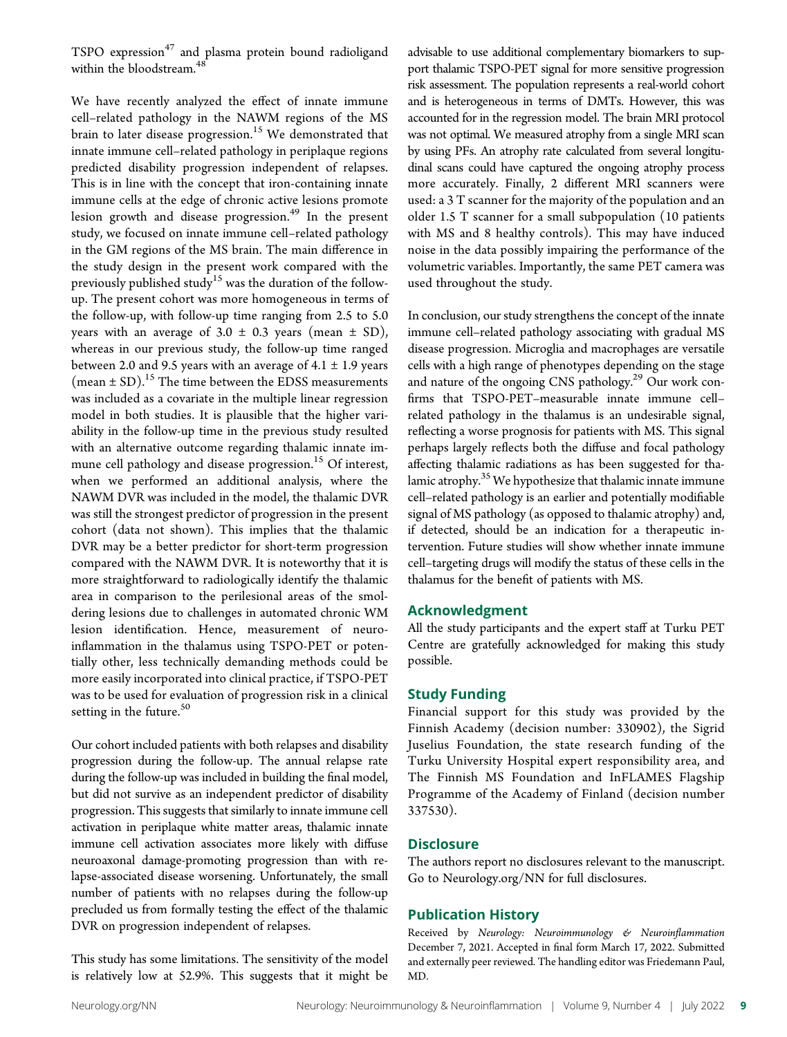TSPO expression<sup>47</sup> and plasma protein bound radioligand within the bloodstream.<sup>48</sup>

We have recently analyzed the effect of innate immune cell–related pathology in the NAWM regions of the MS brain to later disease progression.<sup>15</sup> We demonstrated that innate immune cell–related pathology in periplaque regions predicted disability progression independent of relapses. This is in line with the concept that iron-containing innate immune cells at the edge of chronic active lesions promote lesion growth and disease progression.<sup>49</sup> In the present study, we focused on innate immune cell–related pathology in the GM regions of the MS brain. The main difference in the study design in the present work compared with the previously published study<sup>15</sup> was the duration of the followup. The present cohort was more homogeneous in terms of the follow-up, with follow-up time ranging from 2.5 to 5.0 years with an average of  $3.0 \pm 0.3$  years (mean  $\pm$  SD), whereas in our previous study, the follow-up time ranged between 2.0 and 9.5 years with an average of  $4.1 \pm 1.9$  years (mean  $\pm$  SD).<sup>15</sup> The time between the EDSS measurements was included as a covariate in the multiple linear regression model in both studies. It is plausible that the higher variability in the follow-up time in the previous study resulted with an alternative outcome regarding thalamic innate immune cell pathology and disease progression.<sup>15</sup> Of interest, when we performed an additional analysis, where the NAWM DVR was included in the model, the thalamic DVR was still the strongest predictor of progression in the present cohort (data not shown). This implies that the thalamic DVR may be a better predictor for short-term progression compared with the NAWM DVR. It is noteworthy that it is more straightforward to radiologically identify the thalamic area in comparison to the perilesional areas of the smoldering lesions due to challenges in automated chronic WM lesion identification. Hence, measurement of neuroinflammation in the thalamus using TSPO-PET or potentially other, less technically demanding methods could be more easily incorporated into clinical practice, if TSPO-PET was to be used for evaluation of progression risk in a clinical setting in the future.<sup>50</sup>

Our cohort included patients with both relapses and disability progression during the follow-up. The annual relapse rate during the follow-up was included in building the final model, but did not survive as an independent predictor of disability progression. This suggests that similarly to innate immune cell activation in periplaque white matter areas, thalamic innate immune cell activation associates more likely with diffuse neuroaxonal damage-promoting progression than with relapse-associated disease worsening. Unfortunately, the small number of patients with no relapses during the follow-up precluded us from formally testing the effect of the thalamic DVR on progression independent of relapses.

This study has some limitations. The sensitivity of the model is relatively low at 52.9%. This suggests that it might be advisable to use additional complementary biomarkers to support thalamic TSPO-PET signal for more sensitive progression risk assessment. The population represents a real-world cohort and is heterogeneous in terms of DMTs. However, this was accounted for in the regression model. The brain MRI protocol was not optimal. We measured atrophy from a single MRI scan by using PFs. An atrophy rate calculated from several longitudinal scans could have captured the ongoing atrophy process more accurately. Finally, 2 different MRI scanners were used: a 3 T scanner for the majority of the population and an older 1.5 T scanner for a small subpopulation (10 patients with MS and 8 healthy controls). This may have induced noise in the data possibly impairing the performance of the volumetric variables. Importantly, the same PET camera was used throughout the study.

In conclusion, our study strengthens the concept of the innate immune cell–related pathology associating with gradual MS disease progression. Microglia and macrophages are versatile cells with a high range of phenotypes depending on the stage and nature of the ongoing CNS pathology.<sup>29</sup> Our work confirms that TSPO-PET–measurable innate immune cell– related pathology in the thalamus is an undesirable signal, reflecting a worse prognosis for patients with MS. This signal perhaps largely reflects both the diffuse and focal pathology affecting thalamic radiations as has been suggested for thalamic atrophy.<sup>35</sup> We hypothesize that thalamic innate immune cell–related pathology is an earlier and potentially modifiable signal of MS pathology (as opposed to thalamic atrophy) and, if detected, should be an indication for a therapeutic intervention. Future studies will show whether innate immune cell–targeting drugs will modify the status of these cells in the thalamus for the benefit of patients with MS.

# Acknowledgment

All the study participants and the expert staff at Turku PET Centre are gratefully acknowledged for making this study possible.

#### Study Funding

Financial support for this study was provided by the Finnish Academy (decision number: 330902), the Sigrid Juselius Foundation, the state research funding of the Turku University Hospital expert responsibility area, and The Finnish MS Foundation and InFLAMES Flagship Programme of the Academy of Finland (decision number 337530).

# **Disclosure**

The authors report no disclosures relevant to the manuscript. Go to [Neurology.org/NN](https://nn.neurology.org/content/9/4/e182/tab-article-info) for full disclosures.

# Publication History

Received by Neurology: Neuroimmunology & Neuroinflammation December 7, 2021. Accepted in final form March 17, 2022. Submitted and externally peer reviewed. The handling editor was Friedemann Paul, MD.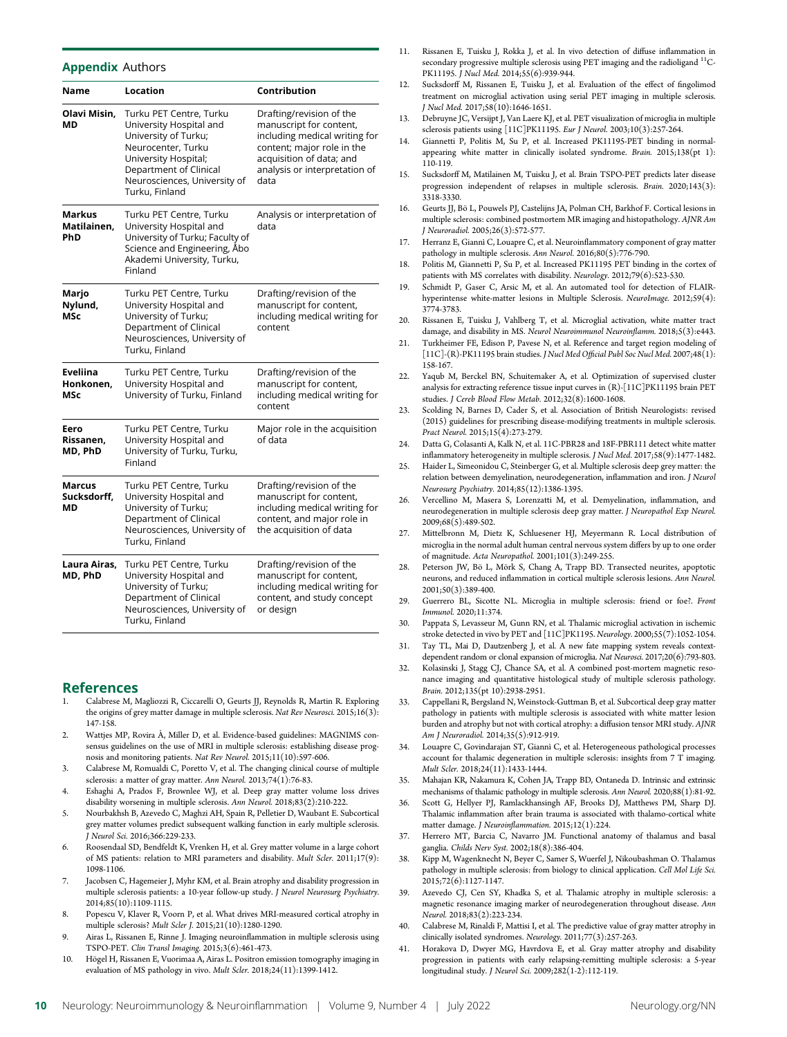#### **Appendix Authors**

| Name                         | Location                                                                                                                                                                                             | Contribution                                                                                                                                                                            |  |  |
|------------------------------|------------------------------------------------------------------------------------------------------------------------------------------------------------------------------------------------------|-----------------------------------------------------------------------------------------------------------------------------------------------------------------------------------------|--|--|
| Olavi Misin,<br>МD           | Turku PET Centre, Turku<br>University Hospital and<br>University of Turku;<br>Neurocenter, Turku<br>University Hospital;<br>Department of Clinical<br>Neurosciences, University of<br>Turku, Finland | Drafting/revision of the<br>manuscript for content,<br>including medical writing for<br>content; major role in the<br>acquisition of data; and<br>analysis or interpretation of<br>data |  |  |
| Markus<br>Matilainen,<br>PhD | Turku PET Centre, Turku<br>University Hospital and<br>University of Turku; Faculty of<br>Science and Engineering, Åbo<br>Akademi University, Turku,<br>Finland                                       | Analysis or interpretation of<br>data                                                                                                                                                   |  |  |
| Marjo<br>Nylund,<br>MSc      | Turku PET Centre, Turku<br>University Hospital and<br>University of Turku;<br>Department of Clinical<br>Neurosciences, University of<br>Turku, Finland                                               | Drafting/revision of the<br>manuscript for content,<br>including medical writing for<br>content                                                                                         |  |  |
| Eveliina<br>Honkonen,<br>MSc | Turku PET Centre, Turku<br>University Hospital and<br>University of Turku, Finland                                                                                                                   | Drafting/revision of the<br>manuscript for content,<br>including medical writing for<br>content                                                                                         |  |  |
| Eero<br>Rissanen,<br>MD, PhD | Turku PET Centre, Turku<br>University Hospital and<br>University of Turku, Turku,<br>Finland                                                                                                         | Major role in the acquisition<br>of data                                                                                                                                                |  |  |
| Marcus<br>Sucksdorff,<br>МD  | Turku PET Centre, Turku<br>University Hospital and<br>University of Turku;<br>Department of Clinical<br>Neurosciences, University of<br>Turku, Finland                                               | Drafting/revision of the<br>manuscript for content,<br>including medical writing for<br>content, and major role in<br>the acquisition of data                                           |  |  |
| Laura Airas,<br>MD, PhD      | Turku PET Centre, Turku<br>University Hospital and<br>University of Turku;<br>Department of Clinical<br>Neurosciences, University of<br>Turku, Finland                                               | Drafting/revision of the<br>manuscript for content,<br>including medical writing for<br>content, and study concept<br>or design                                                         |  |  |

#### References

- 1. Calabrese M, Magliozzi R, Ciccarelli O, Geurts JJ, Reynolds R, Martin R. Exploring the origins of grey matter damage in multiple sclerosis. Nat Rev Neurosci. 2015;16(3): 147-158.
- 2. Wattjes MP, Rovira A, Miller D, et al. Evidence-based guidelines: MAGNIMS con- ` sensus guidelines on the use of MRI in multiple sclerosis: establishing disease prognosis and monitoring patients. Nat Rev Neurol. 2015;11(10):597-606.
- 3. Calabrese M, Romualdi C, Poretto V, et al. The changing clinical course of multiple sclerosis: a matter of gray matter. Ann Neurol. 2013;74(1):76-83.
- 4. Eshaghi A, Prados F, Brownlee WJ, et al. Deep gray matter volume loss drives disability worsening in multiple sclerosis. Ann Neurol. 2018;83(2):210-222.
- 5. Nourbakhsh B, Azevedo C, Maghzi AH, Spain R, Pelletier D, Waubant E. Subcortical grey matter volumes predict subsequent walking function in early multiple sclerosis. J Neurol Sci. 2016;366:229-233.
- 6. Roosendaal SD, Bendfeldt K, Vrenken H, et al. Grey matter volume in a large cohort of MS patients: relation to MRI parameters and disability. Mult Scler. 2011;17(9): 1098-1106.
- 7. Jacobsen C, Hagemeier J, Myhr KM, et al. Brain atrophy and disability progression in multiple sclerosis patients: a 10-year follow-up study. J Neurol Neurosurg Psychiatry. 2014;85(10):1109-1115.
- 8. Popescu V, Klaver R, Voorn P, et al. What drives MRI-measured cortical atrophy in multiple sclerosis? Mult Scler J. 2015;21(10):1280-1290.
- Airas L, Rissanen E, Rinne J. Imaging neuroinflammation in multiple sclerosis using TSPO-PET. Clin Transl Imaging. 2015;3(6):461-473.
- 10. Högel H, Rissanen E, Vuorimaa A, Airas L. Positron emission tomography imaging in evaluation of MS pathology in vivo. Mult Scler. 2018;24(11):1399-1412.
- 11. Rissanen E, Tuisku J, Rokka J, et al. In vivo detection of diffuse inflammation in secondary progressive multiple sclerosis using PET imaging and the radioligand  $^{11}$ C-PK11195. J Nucl Med. 2014;55(6):939-944.
- 12. Sucksdorff M, Rissanen E, Tuisku J, et al. Evaluation of the effect of fingolimod treatment on microglial activation using serial PET imaging in multiple sclerosis. J Nucl Med. 2017;58(10):1646-1651.
- 13. Debruyne JC, Versijpt J, Van Laere KJ, et al. PET visualization of microglia in multiple sclerosis patients using [11C]PK11195. Eur J Neurol. 2003;10(3):257-264.
- 14. Giannetti P, Politis M, Su P, et al. Increased PK11195-PET binding in normalappearing white matter in clinically isolated syndrome. Brain. 2015;138(pt 1): 110-119.
- 15. Sucksdorff M, Matilainen M, Tuisku J, et al. Brain TSPO-PET predicts later disease progression independent of relapses in multiple sclerosis. Brain. 2020;143(3): 3318-3330.
- 16. Geurts JJ, Bö L, Pouwels PJ, Castelijns JA, Polman CH, Barkhof F. Cortical lesions in multiple sclerosis: combined postmortem MR imaging and histopathology. AJNR Am J Neuroradiol. 2005;26(3):572-577.
- 17. Herranz E, Giannì C, Louapre C, et al. Neuroinflammatory component of gray matter pathology in multiple sclerosis. Ann Neurol.  $2016;80(5):776-790$ .
- 18. Politis M, Giannetti P, Su P, et al. Increased PK11195 PET binding in the cortex of patients with MS correlates with disability. Neurology. 2012;79(6):523-530.
- 19. Schmidt P, Gaser C, Arsic M, et al. An automated tool for detection of FLAIRhyperintense white-matter lesions in Multiple Sclerosis. NeuroImage. 2012;59(4): 3774-3783.
- 20. Rissanen E, Tuisku J, Vahlberg T, et al. Microglial activation, white matter tract damage, and disability in MS. Neurol Neuroimmunol Neuroinflamm. 2018;5(3):e443.
- 21. Turkheimer FE, Edison P, Pavese N, et al. Reference and target region modeling of [11C]-(R)-PK11195 brain studies. J Nucl Med Official Publ Soc Nucl Med. 2007;48(1): 158-167.
- 22. Yaqub M, Berckel BN, Schuitemaker A, et al. Optimization of supervised cluster analysis for extracting reference tissue input curves in (R)-[11C]PK11195 brain PET studies. J Cereb Blood Flow Metab. 2012;32(8):1600-1608.
- 23. Scolding N, Barnes D, Cader S, et al. Association of British Neurologists: revised (2015) guidelines for prescribing disease-modifying treatments in multiple sclerosis. Pract Neurol. 2015;15(4):273-279.
- 24. Datta G, Colasanti A, Kalk N, et al. 11C-PBR28 and 18F-PBR111 detect white matter inflammatory heterogeneity in multiple sclerosis. J Nucl Med. 2017;58(9):1477-1482.
- 25. Haider L, Simeonidou C, Steinberger G, et al. Multiple sclerosis deep grey matter: the relation between demyelination, neurodegeneration, inflammation and iron. J Neurol Neurosurg Psychiatry. 2014;85(12):1386-1395.
- 26. Vercellino M, Masera S, Lorenzatti M, et al. Demyelination, inflammation, and neurodegeneration in multiple sclerosis deep gray matter. J Neuropathol Exp Neurol. 2009;68(5):489-502.
- 27. Mittelbronn M, Dietz K, Schluesener HJ, Meyermann R. Local distribution of microglia in the normal adult human central nervous system differs by up to one order of magnitude. Acta Neuropathol. 2001;101(3):249-255.
- 28. Peterson JW, Bö L, Mörk S, Chang A, Trapp BD. Transected neurites, apoptotic neurons, and reduced inflammation in cortical multiple sclerosis lesions. Ann Neurol. 2001;50(3):389-400.
- 29. Guerrero BL, Sicotte NL. Microglia in multiple sclerosis: friend or foe?. Front Immunol. 2020;11:374.
- 30. Pappata S, Levasseur M, Gunn RN, et al. Thalamic microglial activation in ischemic stroke detected in vivo by PET and [11C]PK1195. Neurology. 2000;55(7):1052-1054.
- 31. Tay TL, Mai D, Dautzenberg J, et al. A new fate mapping system reveals contextdependent random or clonal expansion of microglia. Nat Neurosci. 2017;20(6):793-803.
- 32. Kolasinski J, Stagg CJ, Chance SA, et al. A combined post-mortem magnetic resonance imaging and quantitative histological study of multiple sclerosis pathology. Brain. 2012;135(pt 10):2938-2951.
- 33. Cappellani R, Bergsland N, Weinstock-Guttman B, et al. Subcortical deep gray matter pathology in patients with multiple sclerosis is associated with white matter lesion burden and atrophy but not with cortical atrophy: a diffusion tensor MRI study. AJNR Am J Neuroradiol. 2014;35(5):912-919.
- 34. Louapre C, Govindarajan ST, Giannì C, et al. Heterogeneous pathological processes account for thalamic degeneration in multiple sclerosis: insights from 7 T imaging. Mult Scler. 2018;24(11):1433-1444.
- 35. Mahajan KR, Nakamura K, Cohen JA, Trapp BD, Ontaneda D. Intrinsic and extrinsic mechanisms of thalamic pathology in multiple sclerosis. Ann Neurol. 2020;88(1):81-92.
- 36. Scott G, Hellyer PJ, Ramlackhansingh AF, Brooks DJ, Matthews PM, Sharp DJ. Thalamic inflammation after brain trauma is associated with thalamo-cortical white matter damage. J Neuroinflammation. 2015;12(1):224.
- 37. Herrero MT, Barcia C, Navarro JM. Functional anatomy of thalamus and basal ganglia. Childs Nerv Syst. 2002;18(8):386-404.
- 38. Kipp M, Wagenknecht N, Beyer C, Samer S, Wuerfel J, Nikoubashman O. Thalamus pathology in multiple sclerosis: from biology to clinical application. Cell Mol Life Sci. 2015;72(6):1127-1147.
- 39. Azevedo CJ, Cen SY, Khadka S, et al. Thalamic atrophy in multiple sclerosis: a magnetic resonance imaging marker of neurodegeneration throughout disease. Ann Neurol. 2018;83(2):223-234.
- 40. Calabrese M, Rinaldi F, Mattisi I, et al. The predictive value of gray matter atrophy in clinically isolated syndromes. Neurology. 2011;77(3):257-263.
- 41. Horakova D, Dwyer MG, Havrdova E, et al. Gray matter atrophy and disability progression in patients with early relapsing-remitting multiple sclerosis: a 5-year longitudinal study. J Neurol Sci. 2009;282(1-2):112-119.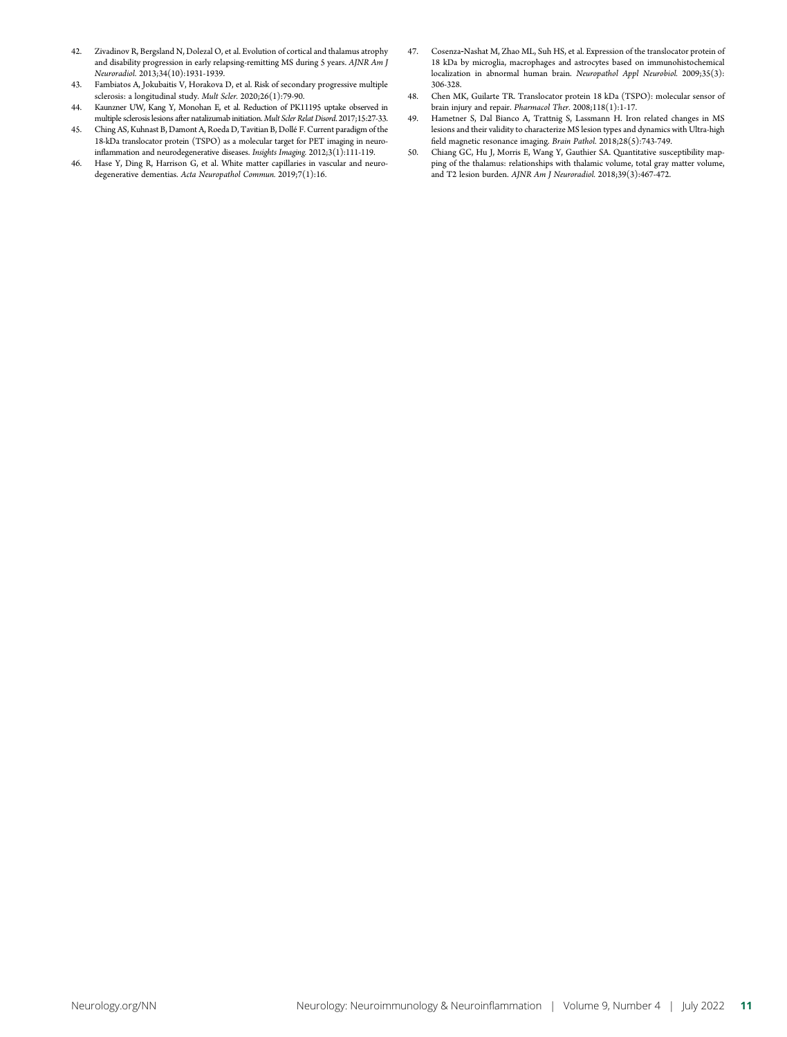- 42. Zivadinov R, Bergsland N, Dolezal O, et al. Evolution of cortical and thalamus atrophy and disability progression in early relapsing-remitting MS during 5 years. AJNR Am J Neuroradiol. 2013;34(10):1931-1939.
- 43. Fambiatos A, Jokubaitis V, Horakova D, et al. Risk of secondary progressive multiple sclerosis: a longitudinal study. Mult Scler. 2020;26(1):79-90.
- 44. Kaunzner UW, Kang Y, Monohan E, et al. Reduction of PK11195 uptake observed in multiple sclerosis lesions after natalizumab initiation. Mult Scler Relat Disord. 2017;15:27-33.
- 45. Ching AS, Kuhnast B, Damont A, Roeda D, Tavitian B, Dollé F. Current paradigm of the 18-kDa translocator protein (TSPO) as a molecular target for PET imaging in neuroinflammation and neurodegenerative diseases. Insights Imaging. 2012;3(1):111-119.
- 46. Hase Y, Ding R, Harrison G, et al. White matter capillaries in vascular and neurodegenerative dementias. Acta Neuropathol Commun. 2019;7(1):16.
- 47. Cosenza‐Nashat M, Zhao ML, Suh HS, et al. Expression of the translocator protein of 18 kDa by microglia, macrophages and astrocytes based on immunohistochemical localization in abnormal human brain. Neuropathol Appl Neurobiol. 2009;35(3): 306-328.
- 48. Chen MK, Guilarte TR. Translocator protein 18 kDa (TSPO): molecular sensor of brain injury and repair. Pharmacol Ther. 2008;118(1):1-17.
- 49. Hametner S, Dal Bianco A, Trattnig S, Lassmann H. Iron related changes in MS lesions and their validity to characterize MS lesion types and dynamics with Ultra-high field magnetic resonance imaging. Brain Pathol. 2018;28(5):743-749.
- 50. Chiang GC, Hu J, Morris E, Wang Y, Gauthier SA. Quantitative susceptibility mapping of the thalamus: relationships with thalamic volume, total gray matter volume, and T2 lesion burden. AJNR Am J Neuroradiol. 2018;39(3):467-472.